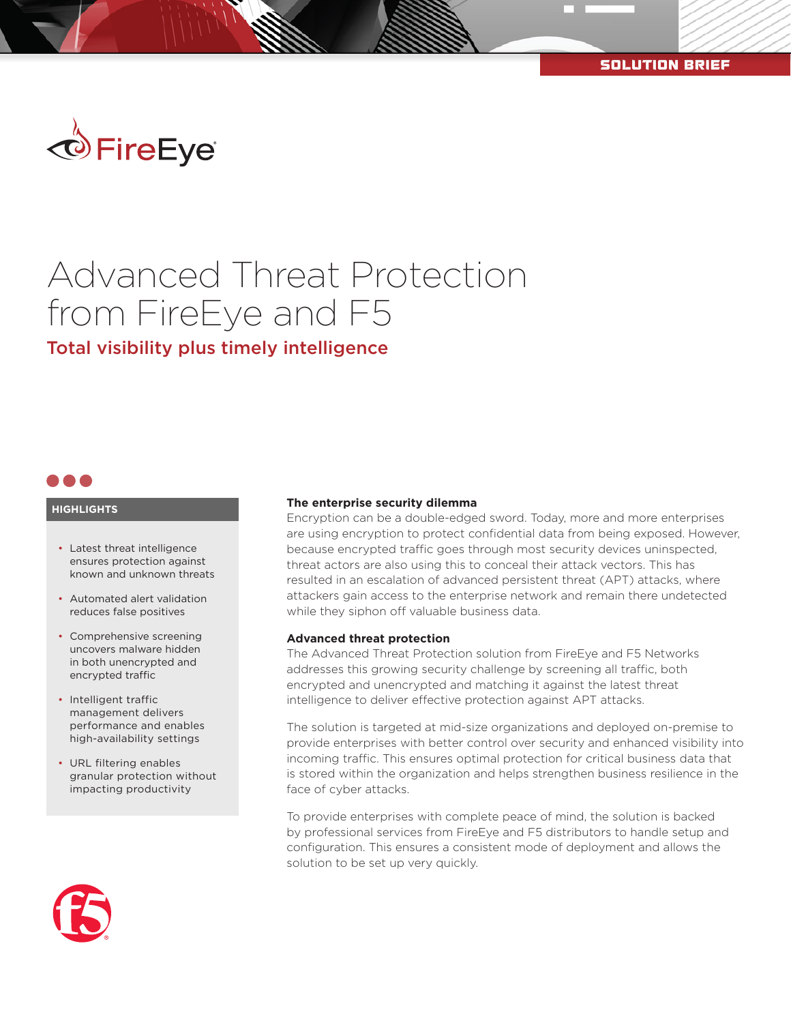

# Advanced Threat Protection from FireEye and F5

Total visibility plus timely intelligence



#### **HIGHLIGHTS**

- Latest threat intelligence ensures protection against known and unknown threats
- Automated alert validation reduces false positives
- Comprehensive screening uncovers malware hidden in both unencrypted and encrypted traffic
- Intelligent traffic management delivers performance and enables high-availability settings
- URL filtering enables granular protection without impacting productivity



#### **The enterprise security dilemma**

Encryption can be a double-edged sword. Today, more and more enterprises are using encryption to protect confidential data from being exposed. However, because encrypted traffic goes through most security devices uninspected, threat actors are also using this to conceal their attack vectors. This has resulted in an escalation of advanced persistent threat (APT) attacks, where attackers gain access to the enterprise network and remain there undetected while they siphon off valuable business data.

## **Advanced threat protection**

The Advanced Threat Protection solution from FireEye and F5 Networks addresses this growing security challenge by screening all traffic, both encrypted and unencrypted and matching it against the latest threat intelligence to deliver effective protection against APT attacks.

The solution is targeted at mid-size organizations and deployed on-premise to provide enterprises with better control over security and enhanced visibility into incoming traffic. This ensures optimal protection for critical business data that is stored within the organization and helps strengthen business resilience in the face of cyber attacks.

To provide enterprises with complete peace of mind, the solution is backed by professional services from FireEye and F5 distributors to handle setup and configuration. This ensures a consistent mode of deployment and allows the solution to be set up very quickly.